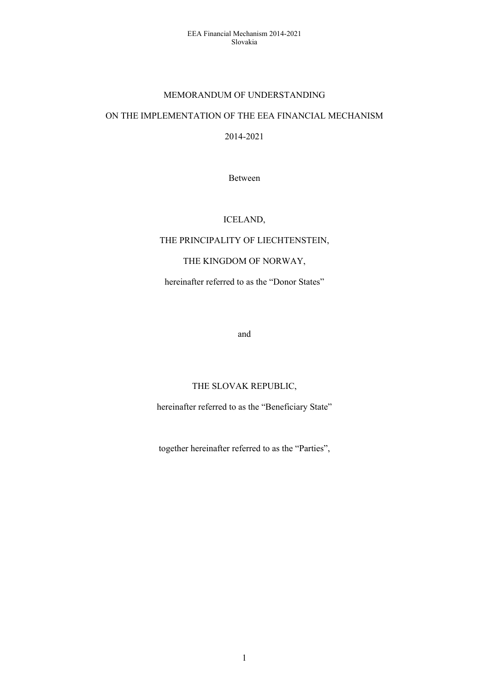#### MEMORANDUM OF UNDERSTANDING

### ON THE IMPLEMENTATION OF THE EEA FINANCIAL MECHANISM

2014-2021

Between

#### ICELAND,

### THE PRINCIPALITY OF LIECHTENSTEIN,

### THE KINGDOM OF NORWAY,

hereinafter referred to as the "Donor States"

and

## THE SLOVAK REPUBLIC,

hereinafter referred to as the "Beneficiary State"

together hereinafter referred to as the "Parties",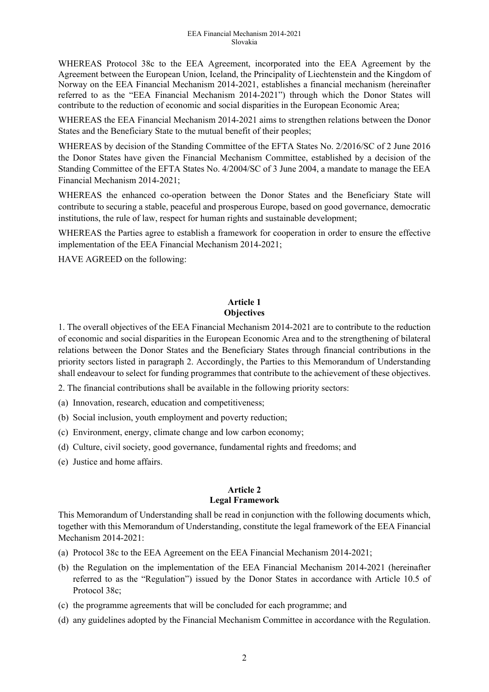WHEREAS Protocol 38c to the EEA Agreement, incorporated into the EEA Agreement by the Agreement between the European Union, Iceland, the Principality of Liechtenstein and the Kingdom of Norway on the EEA Financial Mechanism 2014-2021, establishes a financial mechanism (hereinafter referred to as the "EEA Financial Mechanism 2014-2021") through which the Donor States will contribute to the reduction of economic and social disparities in the European Economic Area;

WHEREAS the EEA Financial Mechanism 2014-2021 aims to strengthen relations between the Donor States and the Beneficiary State to the mutual benefit of their peoples;

WHEREAS by decision of the Standing Committee of the EFTA States No. 2/2016/SC of 2 June 2016 the Donor States have given the Financial Mechanism Committee, established by a decision of the Standing Committee of the EFTA States No. 4/2004/SC of 3 June 2004, a mandate to manage the EEA Financial Mechanism 2014-2021;

WHEREAS the enhanced co-operation between the Donor States and the Beneficiary State will contribute to securing a stable, peaceful and prosperous Europe, based on good governance, democratic institutions, the rule of law, respect for human rights and sustainable development;

WHEREAS the Parties agree to establish a framework for cooperation in order to ensure the effective implementation of the EEA Financial Mechanism 2014-2021;

HAVE AGREED on the following:

### **Article 1 Objectives**

1. The overall objectives of the EEA Financial Mechanism 2014-2021 are to contribute to the reduction of economic and social disparities in the European Economic Area and to the strengthening of bilateral relations between the Donor States and the Beneficiary States through financial contributions in the priority sectors listed in paragraph 2. Accordingly, the Parties to this Memorandum of Understanding shall endeavour to select for funding programmes that contribute to the achievement of these objectives.

2. The financial contributions shall be available in the following priority sectors:

(a) Innovation, research, education and competitiveness;

(b) Social inclusion, youth employment and poverty reduction;

- (c) Environment, energy, climate change and low carbon economy;
- (d) Culture, civil society, good governance, fundamental rights and freedoms; and
- (e) Justice and home affairs.

#### **Article 2 Legal Framework**

This Memorandum of Understanding shall be read in conjunction with the following documents which, together with this Memorandum of Understanding, constitute the legal framework of the EEA Financial Mechanism 2014-2021:

- (a) Protocol 38c to the EEA Agreement on the EEA Financial Mechanism 2014-2021;
- (b) the Regulation on the implementation of the EEA Financial Mechanism 2014-2021 (hereinafter referred to as the "Regulation") issued by the Donor States in accordance with Article 10.5 of Protocol 38c;
- (c) the programme agreements that will be concluded for each programme; and
- (d) any guidelines adopted by the Financial Mechanism Committee in accordance with the Regulation.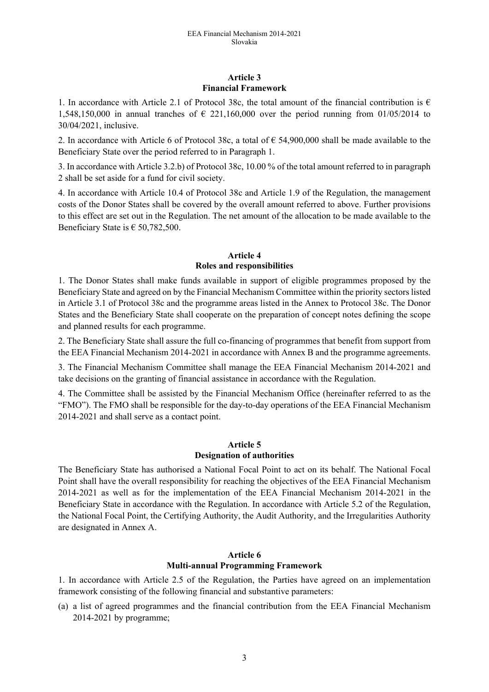#### **Article 3 Financial Framework**

1. In accordance with Article 2.1 of Protocol 38c, the total amount of the financial contribution is  $\epsilon$ 1,548,150,000 in annual tranches of  $\epsilon$  221,160,000 over the period running from 01/05/2014 to 30/04/2021, inclusive.

2. In accordance with Article 6 of Protocol 38c, a total of  $\epsilon$  54,900,000 shall be made available to the Beneficiary State over the period referred to in Paragraph 1.

3. In accordance with Article 3.2.b) of Protocol 38c, 10.00 % of the total amount referred to in paragraph 2 shall be set aside for a fund for civil society.

4. In accordance with Article 10.4 of Protocol 38c and Article 1.9 of the Regulation, the management costs of the Donor States shall be covered by the overall amount referred to above. Further provisions to this effect are set out in the Regulation. The net amount of the allocation to be made available to the Beneficiary State is  $\epsilon$  50,782,500.

#### **Article 4 Roles and responsibilities**

1. The Donor States shall make funds available in support of eligible programmes proposed by the Beneficiary State and agreed on by the Financial Mechanism Committee within the priority sectors listed in Article 3.1 of Protocol 38c and the programme areas listed in the Annex to Protocol 38c. The Donor States and the Beneficiary State shall cooperate on the preparation of concept notes defining the scope and planned results for each programme.

2. The Beneficiary State shall assure the full co-financing of programmes that benefit from support from the EEA Financial Mechanism 2014-2021 in accordance with Annex B and the programme agreements.

3. The Financial Mechanism Committee shall manage the EEA Financial Mechanism 2014-2021 and take decisions on the granting of financial assistance in accordance with the Regulation.

4. The Committee shall be assisted by the Financial Mechanism Office (hereinafter referred to as the "FMO"). The FMO shall be responsible for the day-to-day operations of the EEA Financial Mechanism 2014-2021 and shall serve as a contact point.

#### **Article 5 Designation of authorities**

The Beneficiary State has authorised a National Focal Point to act on its behalf. The National Focal Point shall have the overall responsibility for reaching the objectives of the EEA Financial Mechanism 2014-2021 as well as for the implementation of the EEA Financial Mechanism 2014-2021 in the Beneficiary State in accordance with the Regulation. In accordance with Article 5.2 of the Regulation, the National Focal Point, the Certifying Authority, the Audit Authority, and the Irregularities Authority are designated in Annex A.

### **Article 6 Multi-annual Programming Framework**

1. In accordance with Article 2.5 of the Regulation, the Parties have agreed on an implementation framework consisting of the following financial and substantive parameters:

(a) a list of agreed programmes and the financial contribution from the EEA Financial Mechanism 2014-2021 by programme;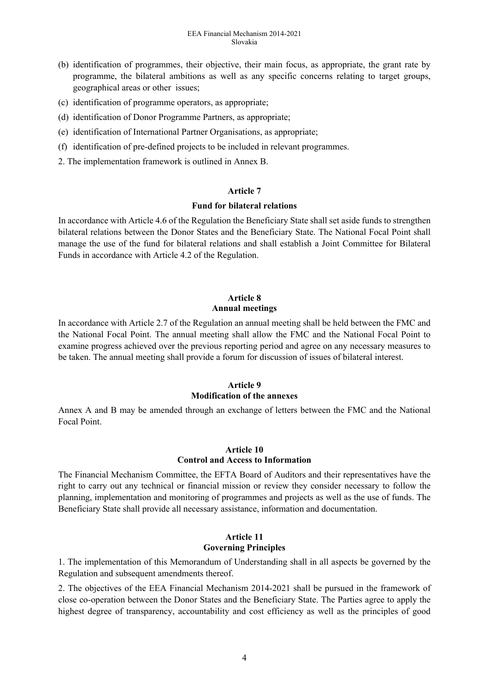- (b) identification of programmes, their objective, their main focus, as appropriate, the grant rate by programme, the bilateral ambitions as well as any specific concerns relating to target groups, geographical areas or other issues;
- (c) identification of programme operators, as appropriate;
- (d) identification of Donor Programme Partners, as appropriate;
- (e) identification of International Partner Organisations, as appropriate;
- (f) identification of pre-defined projects to be included in relevant programmes.
- 2. The implementation framework is outlined in Annex B.

#### **Article 7**

#### **Fund for bilateral relations**

In accordance with Article 4.6 of the Regulation the Beneficiary State shall set aside funds to strengthen bilateral relations between the Donor States and the Beneficiary State. The National Focal Point shall manage the use of the fund for bilateral relations and shall establish a Joint Committee for Bilateral Funds in accordance with Article 4.2 of the Regulation.

### **Article 8 Annual meetings**

In accordance with Article 2.7 of the Regulation an annual meeting shall be held between the FMC and the National Focal Point. The annual meeting shall allow the FMC and the National Focal Point to examine progress achieved over the previous reporting period and agree on any necessary measures to be taken. The annual meeting shall provide a forum for discussion of issues of bilateral interest.

### **Article 9**

### **Modification of the annexes**

Annex A and B may be amended through an exchange of letters between the FMC and the National Focal Point.

### **Article 10 Control and Access to Information**

The Financial Mechanism Committee, the EFTA Board of Auditors and their representatives have the right to carry out any technical or financial mission or review they consider necessary to follow the planning, implementation and monitoring of programmes and projects as well as the use of funds. The Beneficiary State shall provide all necessary assistance, information and documentation.

#### **Article 11 Governing Principles**

1. The implementation of this Memorandum of Understanding shall in all aspects be governed by the Regulation and subsequent amendments thereof.

2. The objectives of the EEA Financial Mechanism 2014-2021 shall be pursued in the framework of close co-operation between the Donor States and the Beneficiary State. The Parties agree to apply the highest degree of transparency, accountability and cost efficiency as well as the principles of good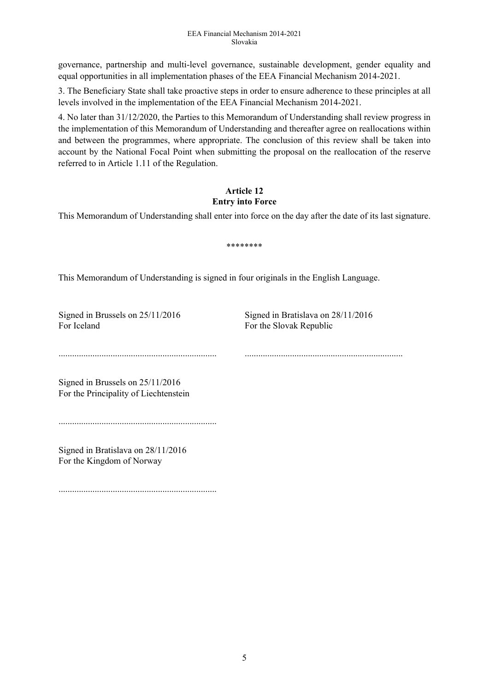#### EEA Financial Mechanism 2014-2021 Slovakia

governance, partnership and multi-level governance, sustainable development, gender equality and equal opportunities in all implementation phases of the EEA Financial Mechanism 2014-2021.

3. The Beneficiary State shall take proactive steps in order to ensure adherence to these principles at all levels involved in the implementation of the EEA Financial Mechanism 2014-2021.

4. No later than 31/12/2020, the Parties to this Memorandum of Understanding shall review progress in the implementation of this Memorandum of Understanding and thereafter agree on reallocations within and between the programmes, where appropriate. The conclusion of this review shall be taken into account by the National Focal Point when submitting the proposal on the reallocation of the reserve referred to in Article 1.11 of the Regulation.

#### **Article 12 Entry into Force**

This Memorandum of Understanding shall enter into force on the day after the date of its last signature.

\*\*\*\*\*\*\*\*

This Memorandum of Understanding is signed in four originals in the English Language.

For Iceland For the Slovak Republic

Signed in Brussels on 25/11/2016 Signed in Bratislava on 28/11/2016

...................................................................... ......................................................................

Signed in Brussels on 25/11/2016 For the Principality of Liechtenstein

......................................................................

Signed in Bratislava on 28/11/2016 For the Kingdom of Norway

......................................................................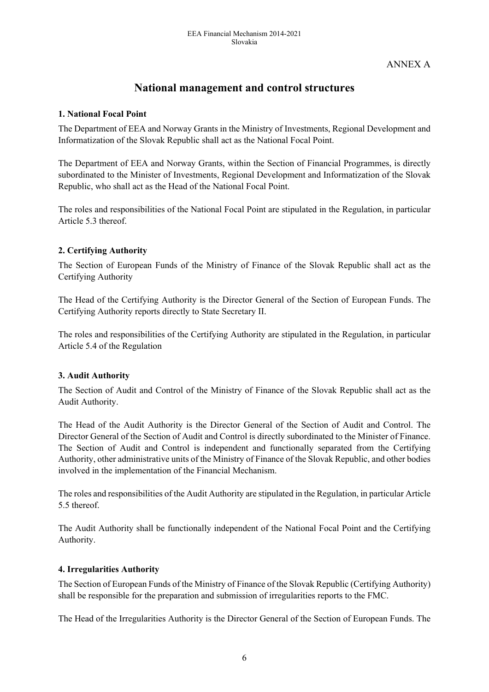## ANNEX A

# **National management and control structures**

### **1. National Focal Point**

The Department of EEA and Norway Grants in the Ministry of Investments, Regional Development and Informatization of the Slovak Republic shall act as the National Focal Point.

The Department of EEA and Norway Grants, within the Section of Financial Programmes, is directly subordinated to the Minister of Investments, Regional Development and Informatization of the Slovak Republic, who shall act as the Head of the National Focal Point.

The roles and responsibilities of the National Focal Point are stipulated in the Regulation, in particular Article 5.3 thereof.

#### **2. Certifying Authority**

The Section of European Funds of the Ministry of Finance of the Slovak Republic shall act as the Certifying Authority

The Head of the Certifying Authority is the Director General of the Section of European Funds. The Certifying Authority reports directly to State Secretary II.

The roles and responsibilities of the Certifying Authority are stipulated in the Regulation, in particular Article 5.4 of the Regulation

#### **3. Audit Authority**

The Section of Audit and Control of the Ministry of Finance of the Slovak Republic shall act as the Audit Authority.

The Head of the Audit Authority is the Director General of the Section of Audit and Control. The Director General of the Section of Audit and Control is directly subordinated to the Minister of Finance. The Section of Audit and Control is independent and functionally separated from the Certifying Authority, other administrative units of the Ministry of Finance of the Slovak Republic, and other bodies involved in the implementation of the Financial Mechanism.

The roles and responsibilities of the Audit Authority are stipulated in the Regulation, in particular Article 5.5 thereof.

The Audit Authority shall be functionally independent of the National Focal Point and the Certifying Authority.

#### **4. Irregularities Authority**

The Section of European Funds of the Ministry of Finance of the Slovak Republic (Certifying Authority) shall be responsible for the preparation and submission of irregularities reports to the FMC.

The Head of the Irregularities Authority is the Director General of the Section of European Funds. The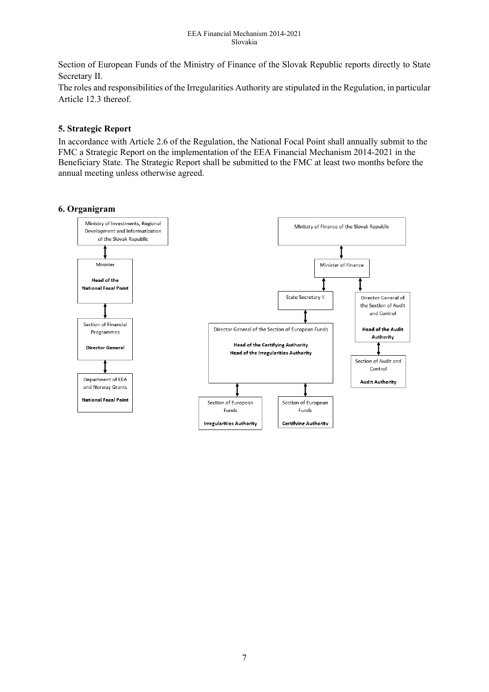Section of European Funds of the Ministry of Finance of the Slovak Republic reports directly to State Secretary II.

The roles and responsibilities of the Irregularities Authority are stipulated in the Regulation, in particular Article 12.3 thereof.

### **5. Strategic Report**

In accordance with Article 2.6 of the Regulation, the National Focal Point shall annually submit to the FMC a Strategic Report on the implementation of the EEA Financial Mechanism 2014-2021 in the Beneficiary State. The Strategic Report shall be submitted to the FMC at least two months before the annual meeting unless otherwise agreed.

### **6. Organigram**

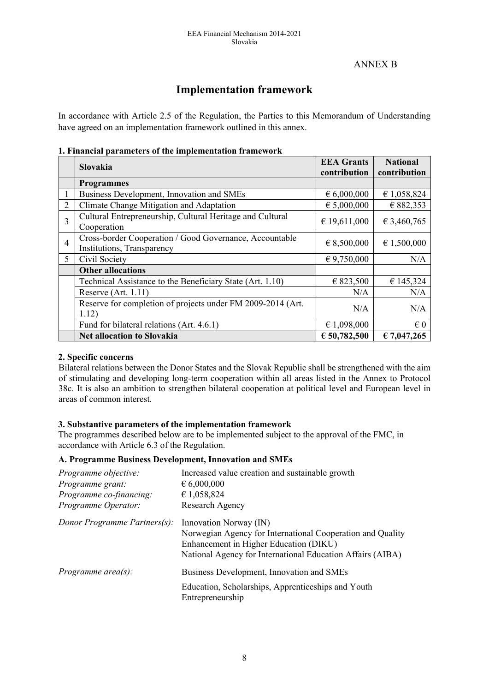## ANNEX B

# **Implementation framework**

In accordance with Article 2.5 of the Regulation, the Parties to this Memorandum of Understanding have agreed on an implementation framework outlined in this annex.

#### **1. Financial parameters of the implementation framework**

|                | <b>Slovakia</b>                                                                       | <b>EEA</b> Grants    | <b>National</b> |
|----------------|---------------------------------------------------------------------------------------|----------------------|-----------------|
|                |                                                                                       | contribution         | contribution    |
|                | <b>Programmes</b>                                                                     |                      |                 |
| 1              | Business Development, Innovation and SMEs                                             | $\epsilon$ 6,000,000 | € 1,058,824     |
| 2              | Climate Change Mitigation and Adaptation                                              | € 5,000,000          | € 882,353       |
| 3              | Cultural Entrepreneurship, Cultural Heritage and Cultural<br>Cooperation              | € 19,611,000         | € 3,460,765     |
| $\overline{4}$ | Cross-border Cooperation / Good Governance, Accountable<br>Institutions, Transparency | $\in$ 8,500,000      | € 1,500,000     |
| 5              | Civil Society                                                                         | $\in$ 9,750,000      | N/A             |
|                | <b>Other allocations</b>                                                              |                      |                 |
|                | Technical Assistance to the Beneficiary State (Art. 1.10)                             | € 823,500            | € 145,324       |
|                | Reserve $(Art. 1.11)$                                                                 | N/A                  | N/A             |
|                | Reserve for completion of projects under FM 2009-2014 (Art.<br>1.12)                  | N/A                  | N/A             |
|                | Fund for bilateral relations (Art. 4.6.1)                                             | € 1,098,000          | $\epsilon$ 0    |
|                | <b>Net allocation to Slovakia</b>                                                     | € 50,782,500         | € 7,047,265     |

### **2. Specific concerns**

Bilateral relations between the Donor States and the Slovak Republic shall be strengthened with the aim of stimulating and developing long-term cooperation within all areas listed in the Annex to Protocol 38c. It is also an ambition to strengthen bilateral cooperation at political level and European level in areas of common interest.

### **3. Substantive parameters of the implementation framework**

The programmes described below are to be implemented subject to the approval of the FMC, in accordance with Article 6.3 of the Regulation.

#### **A. Programme Business Development, Innovation and SMEs**

| Programme objective:<br>Programme grant:<br>Programme co-financing:<br>Programme Operator: | Increased value creation and sustainable growth<br>$\epsilon$ 6,000,000<br>€ 1,058,824<br>Research Agency                                                                                    |
|--------------------------------------------------------------------------------------------|----------------------------------------------------------------------------------------------------------------------------------------------------------------------------------------------|
| Donor Programme Partners(s):                                                               | Innovation Norway (IN)<br>Norwegian Agency for International Cooperation and Quality<br>Enhancement in Higher Education (DIKU)<br>National Agency for International Education Affairs (AIBA) |
| Programme area $(s)$ :                                                                     | Business Development, Innovation and SMEs                                                                                                                                                    |
|                                                                                            | Education, Scholarships, Apprenticeships and Youth<br>Entrepreneurship                                                                                                                       |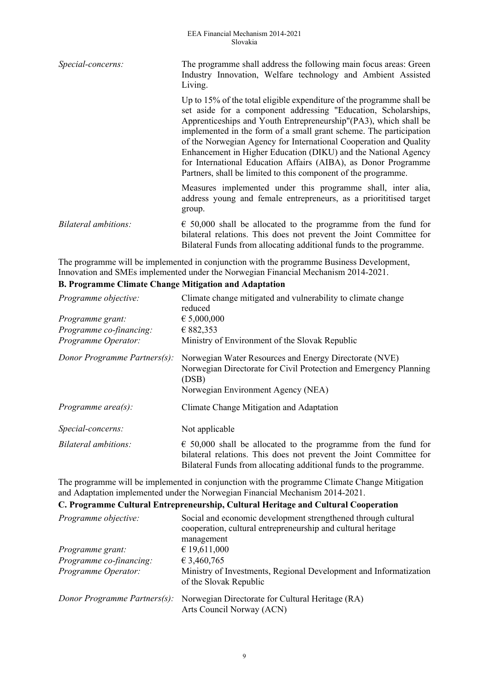| Special-concerns:    | The programme shall address the following main focus areas: Green<br>Industry Innovation, Welfare technology and Ambient Assisted<br>Living.                                                                                                                                                                                                                                                                                                                                                                                                                 |
|----------------------|--------------------------------------------------------------------------------------------------------------------------------------------------------------------------------------------------------------------------------------------------------------------------------------------------------------------------------------------------------------------------------------------------------------------------------------------------------------------------------------------------------------------------------------------------------------|
|                      | Up to 15% of the total eligible expenditure of the programme shall be<br>set aside for a component addressing "Education, Scholarships,<br>Apprenticeships and Youth Entrepreneurship"(PA3), which shall be<br>implemented in the form of a small grant scheme. The participation<br>of the Norwegian Agency for International Cooperation and Quality<br>Enhancement in Higher Education (DIKU) and the National Agency<br>for International Education Affairs (AIBA), as Donor Programme<br>Partners, shall be limited to this component of the programme. |
|                      | Measures implemented under this programme shall, inter alia,<br>address young and female entrepreneurs, as a priorititised target<br>group.                                                                                                                                                                                                                                                                                                                                                                                                                  |
| Bilateral ambitions: | $\epsilon$ 50,000 shall be allocated to the programme from the fund for<br>bilateral relations. This does not prevent the Joint Committee for<br>Bilateral Funds from allocating additional funds to the programme.                                                                                                                                                                                                                                                                                                                                          |

The programme will be implemented in conjunction with the programme Business Development, Innovation and SMEs implemented under the Norwegian Financial Mechanism 2014-2021.

### **B. Programme Climate Change Mitigation and Adaptation**

| Programme objective:         | Climate change mitigated and vulnerability to climate change<br>reduced                                                                                                                                             |
|------------------------------|---------------------------------------------------------------------------------------------------------------------------------------------------------------------------------------------------------------------|
| Programme grant:             | $\epsilon$ 5,000,000                                                                                                                                                                                                |
| Programme co-financing:      | € 882,353                                                                                                                                                                                                           |
| Programme Operator:          | Ministry of Environment of the Slovak Republic                                                                                                                                                                      |
| Donor Programme Partners(s): | Norwegian Water Resources and Energy Directorate (NVE)<br>Norwegian Directorate for Civil Protection and Emergency Planning<br>(DSB)<br>Norwegian Environment Agency (NEA)                                          |
| Programme area(s):           | Climate Change Mitigation and Adaptation                                                                                                                                                                            |
| Special-concerns:            | Not applicable                                                                                                                                                                                                      |
| Bilateral ambitions:         | $\epsilon$ 50,000 shall be allocated to the programme from the fund for<br>bilateral relations. This does not prevent the Joint Committee for<br>Bilateral Funds from allocating additional funds to the programme. |

The programme will be implemented in conjunction with the programme Climate Change Mitigation and Adaptation implemented under the Norwegian Financial Mechanism 2014-2021.

## **C. Programme Cultural Entrepreneurship, Cultural Heritage and Cultural Cooperation**

| Programme objective:         | Social and economic development strengthened through cultural<br>cooperation, cultural entrepreneurship and cultural heritage<br>management |
|------------------------------|---------------------------------------------------------------------------------------------------------------------------------------------|
| Programme grant:             | € 19,611,000                                                                                                                                |
| Programme co-financing:      | € 3,460,765                                                                                                                                 |
| Programme Operator:          | Ministry of Investments, Regional Development and Informatization<br>of the Slovak Republic                                                 |
| Donor Programme Partners(s): | Norwegian Directorate for Cultural Heritage (RA)<br>Arts Council Norway (ACN)                                                               |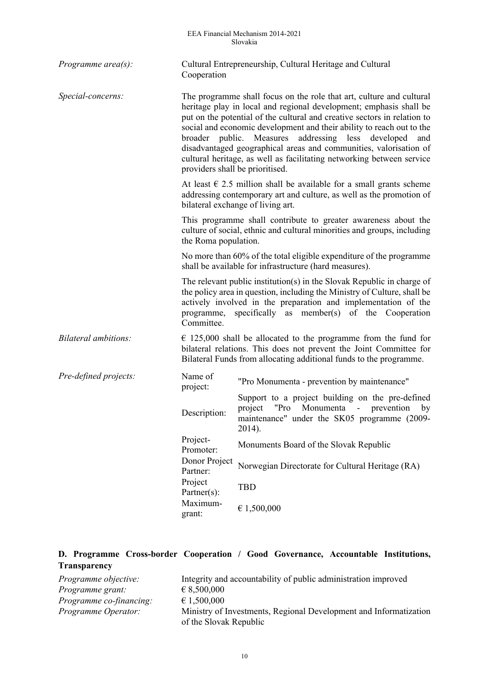| Programme $area(s)$ :       | Cultural Entrepreneurship, Cultural Heritage and Cultural<br>Cooperation                                                                                                                                                                                                                         |                                                                                                                                                                                                                                                                                                                                                                                                                                                                                                                                                  |  |  |  |
|-----------------------------|--------------------------------------------------------------------------------------------------------------------------------------------------------------------------------------------------------------------------------------------------------------------------------------------------|--------------------------------------------------------------------------------------------------------------------------------------------------------------------------------------------------------------------------------------------------------------------------------------------------------------------------------------------------------------------------------------------------------------------------------------------------------------------------------------------------------------------------------------------------|--|--|--|
| Special-concerns:           |                                                                                                                                                                                                                                                                                                  | The programme shall focus on the role that art, culture and cultural<br>heritage play in local and regional development; emphasis shall be<br>put on the potential of the cultural and creative sectors in relation to<br>social and economic development and their ability to reach out to the<br>broader public. Measures<br>addressing less developed<br>and<br>disadvantaged geographical areas and communities, valorisation of<br>cultural heritage, as well as facilitating networking between service<br>providers shall be prioritised. |  |  |  |
|                             | At least $\epsilon$ 2.5 million shall be available for a small grants scheme<br>addressing contemporary art and culture, as well as the promotion of<br>bilateral exchange of living art.                                                                                                        |                                                                                                                                                                                                                                                                                                                                                                                                                                                                                                                                                  |  |  |  |
|                             | the Roma population.                                                                                                                                                                                                                                                                             | This programme shall contribute to greater awareness about the<br>culture of social, ethnic and cultural minorities and groups, including                                                                                                                                                                                                                                                                                                                                                                                                        |  |  |  |
|                             | No more than 60% of the total eligible expenditure of the programme<br>shall be available for infrastructure (hard measures).                                                                                                                                                                    |                                                                                                                                                                                                                                                                                                                                                                                                                                                                                                                                                  |  |  |  |
|                             | The relevant public institution(s) in the Slovak Republic in charge of<br>the policy area in question, including the Ministry of Culture, shall be<br>actively involved in the preparation and implementation of the<br>specifically as member(s) of the Cooperation<br>programme,<br>Committee. |                                                                                                                                                                                                                                                                                                                                                                                                                                                                                                                                                  |  |  |  |
| <b>Bilateral ambitions:</b> | $\epsilon$ 125,000 shall be allocated to the programme from the fund for<br>bilateral relations. This does not prevent the Joint Committee for<br>Bilateral Funds from allocating additional funds to the programme.                                                                             |                                                                                                                                                                                                                                                                                                                                                                                                                                                                                                                                                  |  |  |  |
| Pre-defined projects:       | Name of<br>project:                                                                                                                                                                                                                                                                              | "Pro Monumenta - prevention by maintenance"                                                                                                                                                                                                                                                                                                                                                                                                                                                                                                      |  |  |  |
|                             | Description:                                                                                                                                                                                                                                                                                     | Support to a project building on the pre-defined<br>Monumenta<br>project<br>"Pro<br>- prevention<br>by<br>maintenance" under the SK05 programme (2009-<br>2014).                                                                                                                                                                                                                                                                                                                                                                                 |  |  |  |
|                             | Project-<br>Promoter:                                                                                                                                                                                                                                                                            | Monuments Board of the Slovak Republic                                                                                                                                                                                                                                                                                                                                                                                                                                                                                                           |  |  |  |
|                             | Donor Project<br>Partner:<br>Project<br>Partner(s):                                                                                                                                                                                                                                              | Norwegian Directorate for Cultural Heritage (RA)                                                                                                                                                                                                                                                                                                                                                                                                                                                                                                 |  |  |  |
|                             |                                                                                                                                                                                                                                                                                                  | <b>TBD</b>                                                                                                                                                                                                                                                                                                                                                                                                                                                                                                                                       |  |  |  |
|                             | Maximum-<br>grant:                                                                                                                                                                                                                                                                               | € 1,500,000                                                                                                                                                                                                                                                                                                                                                                                                                                                                                                                                      |  |  |  |

|                     | D. Programme Cross-border Cooperation / Good Governance, Accountable Institutions, |  |  |  |
|---------------------|------------------------------------------------------------------------------------|--|--|--|
| <b>Transparency</b> |                                                                                    |  |  |  |

| Programme objective:           | Integrity and accountability of public administration improved    |
|--------------------------------|-------------------------------------------------------------------|
| Programme grant:               | $\epsilon$ 8,500,000                                              |
| <i>Programme co-financing:</i> | $\epsilon$ 1,500,000                                              |
| Programme Operator:            | Ministry of Investments, Regional Development and Informatization |
|                                | of the Slovak Republic                                            |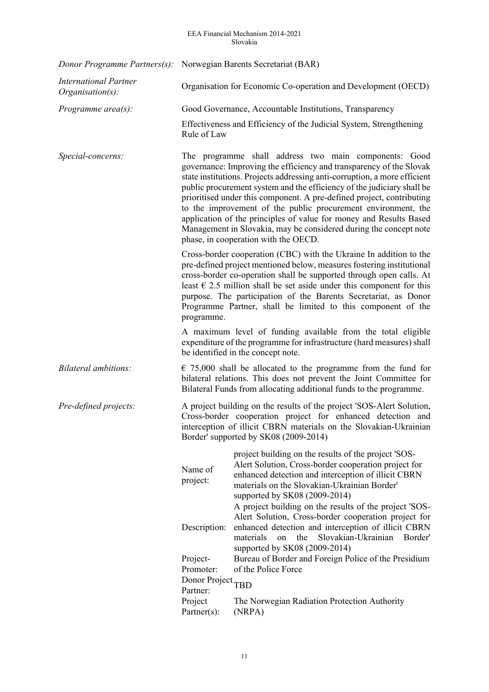#### EEA Financial Mechanism 2014-2021 Slovakia

|                                                     | Donor Programme Partners(s): Norwegian Barents Secretariat (BAR)                                                                                                                                                                                                                                                                                                                                                                                                                                                                                                                                                 |                                                                                                                                                                                                                                                                               |  |  |
|-----------------------------------------------------|------------------------------------------------------------------------------------------------------------------------------------------------------------------------------------------------------------------------------------------------------------------------------------------------------------------------------------------------------------------------------------------------------------------------------------------------------------------------------------------------------------------------------------------------------------------------------------------------------------------|-------------------------------------------------------------------------------------------------------------------------------------------------------------------------------------------------------------------------------------------------------------------------------|--|--|
| <b>International Partner</b><br>$Organisation(s)$ : | Organisation for Economic Co-operation and Development (OECD)                                                                                                                                                                                                                                                                                                                                                                                                                                                                                                                                                    |                                                                                                                                                                                                                                                                               |  |  |
| Programme $area(s)$ :                               |                                                                                                                                                                                                                                                                                                                                                                                                                                                                                                                                                                                                                  | Good Governance, Accountable Institutions, Transparency                                                                                                                                                                                                                       |  |  |
|                                                     | Rule of Law                                                                                                                                                                                                                                                                                                                                                                                                                                                                                                                                                                                                      | Effectiveness and Efficiency of the Judicial System, Strengthening                                                                                                                                                                                                            |  |  |
| Special-concerns:                                   | The programme shall address two main components: Good<br>governance: Improving the efficiency and transparency of the Slovak<br>state institutions. Projects addressing anti-corruption, a more efficient<br>public procurement system and the efficiency of the judiciary shall be<br>prioritised under this component. A pre-defined project, contributing<br>to the improvement of the public procurement environment, the<br>application of the principles of value for money and Results Based<br>Management in Slovakia, may be considered during the concept note<br>phase, in cooperation with the OECD. |                                                                                                                                                                                                                                                                               |  |  |
|                                                     | Cross-border cooperation (CBC) with the Ukraine In addition to the<br>pre-defined project mentioned below, measures fostering institutional<br>cross-border co-operation shall be supported through open calls. At<br>least $\epsilon$ 2.5 million shall be set aside under this component for this<br>purpose. The participation of the Barents Secretariat, as Donor<br>Programme Partner, shall be limited to this component of the<br>programme.                                                                                                                                                             |                                                                                                                                                                                                                                                                               |  |  |
|                                                     |                                                                                                                                                                                                                                                                                                                                                                                                                                                                                                                                                                                                                  | A maximum level of funding available from the total eligible<br>expenditure of the programme for infrastructure (hard measures) shall<br>be identified in the concept note.                                                                                                   |  |  |
| Bilateral ambitions:                                | $\epsilon$ 75,000 shall be allocated to the programme from the fund for<br>bilateral relations. This does not prevent the Joint Committee for<br>Bilateral Funds from allocating additional funds to the programme.                                                                                                                                                                                                                                                                                                                                                                                              |                                                                                                                                                                                                                                                                               |  |  |
| Pre-defined projects:                               | A project building on the results of the project 'SOS-Alert Solution,<br>Cross-border cooperation project for enhanced detection and<br>interception of illicit CBRN materials on the Slovakian-Ukrainian<br>Border' supported by SK08 (2009-2014)                                                                                                                                                                                                                                                                                                                                                               |                                                                                                                                                                                                                                                                               |  |  |
|                                                     | Name of<br>project:                                                                                                                                                                                                                                                                                                                                                                                                                                                                                                                                                                                              | project building on the results of the project 'SOS-<br>Alert Solution, Cross-border cooperation project for<br>enhanced detection and interception of illicit CBRN<br>materials on the Slovakian-Ukrainian Border'<br>supported by SK08 (2009-2014)                          |  |  |
|                                                     | Description:                                                                                                                                                                                                                                                                                                                                                                                                                                                                                                                                                                                                     | A project building on the results of the project 'SOS-<br>Alert Solution, Cross-border cooperation project for<br>enhanced detection and interception of illicit CBRN<br>Slovakian-Ukrainian<br>materials<br>the<br>Border'<br><sub>on</sub><br>supported by SK08 (2009-2014) |  |  |
|                                                     | Project-<br>Promoter:                                                                                                                                                                                                                                                                                                                                                                                                                                                                                                                                                                                            | Bureau of Border and Foreign Police of the Presidium<br>of the Police Force                                                                                                                                                                                                   |  |  |
|                                                     | Donor Project <sub>TBD</sub><br>Partner:                                                                                                                                                                                                                                                                                                                                                                                                                                                                                                                                                                         |                                                                                                                                                                                                                                                                               |  |  |
|                                                     | Project<br>$\text{Patterner}(s)$ :                                                                                                                                                                                                                                                                                                                                                                                                                                                                                                                                                                               | The Norwegian Radiation Protection Authority<br>(NRPA)                                                                                                                                                                                                                        |  |  |